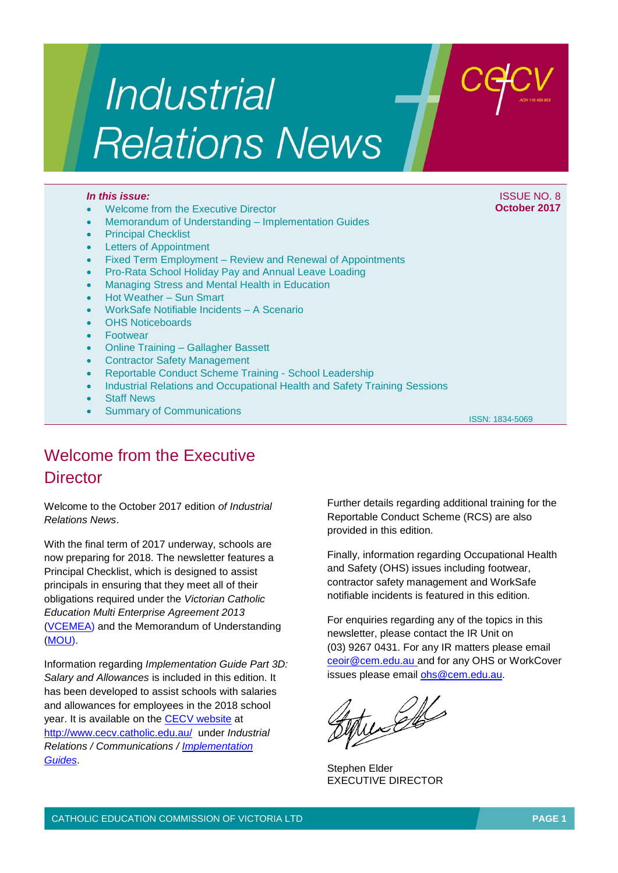# *Industrial* **Relations News**

- Welcome from the Executive Director
- Memorandum of Understanding Implementation Guides
- Principal Checklist
- Letters of Appointment
- Fixed Term Employment Review and Renewal of Appointments
- Pro-Rata School Holiday Pay and Annual Leave Loading
- Managing Stress and Mental Health in Education
- Hot Weather Sun Smart
- WorkSafe Notifiable Incidents A Scenario
- OHS Noticeboards
- Footwear
- Online Training Gallagher Bassett
- Contractor Safety Management
- Reportable Conduct Scheme Training School Leadership
- Industrial Relations and Occupational Health and Safety Training Sessions
- Staff News
- Summary of Communications

ISSN: 1834-5069

## Welcome from the Executive **Director**

Welcome to the October 2017 edition *of Industrial Relations News*.

With the final term of 2017 underway, schools are now preparing for 2018. The newsletter features a Principal Checklist, which is designed to assist principals in ensuring that they meet all of their obligations required under the *Victorian Catholic Education Multi Enterprise Agreement 2013* [\(VCEMEA\)](http://www.cecv.catholic.edu.au/getmedia/e728ccbb-dac1-4822-9607-7c5cb8abdae9/VCEMEA_2013.aspx) and the Memorandum of Understanding [\(MOU\).](http://www.cecv.catholic.edu.au/Industrial-Relations/EB/Memorandum-of-Understanding)

Information regarding *Implementation Guide Part 3D: Salary and Allowances* is included in this edition. It has been developed to assist schools with salaries and allowances for employees in the 2018 school year. It is available on the **CECV** website at <http://www.cecv.catholic.edu.au/>under *Industrial Relations / Communications / [Implementation](http://www.cecv.catholic.edu.au/Industrial-Relations/Training-Resources/Implementation-Guides)  [Guides](http://www.cecv.catholic.edu.au/Industrial-Relations/Training-Resources/Implementation-Guides)*.

Further details regarding additional training for the Reportable Conduct Scheme (RCS) are also provided in this edition.

Finally, information regarding Occupational Health and Safety (OHS) issues including footwear, contractor safety management and WorkSafe notifiable incidents is featured in this edition.

For enquiries regarding any of the topics in this newsletter, please contact the IR Unit on (03) 9267 0431. For any IR matters please email [ceoir@cem.edu.au](mailto:ceoir@cem.edu.au) and for any OHS or WorkCover issues please email [ohs@cem.edu.au.](mailto:ohs@cem.edu.au)

tuches

Stephen Elder EXECUTIVE DIRECTOR

*In this issue:* ISSUE NO. 8 **October 2017**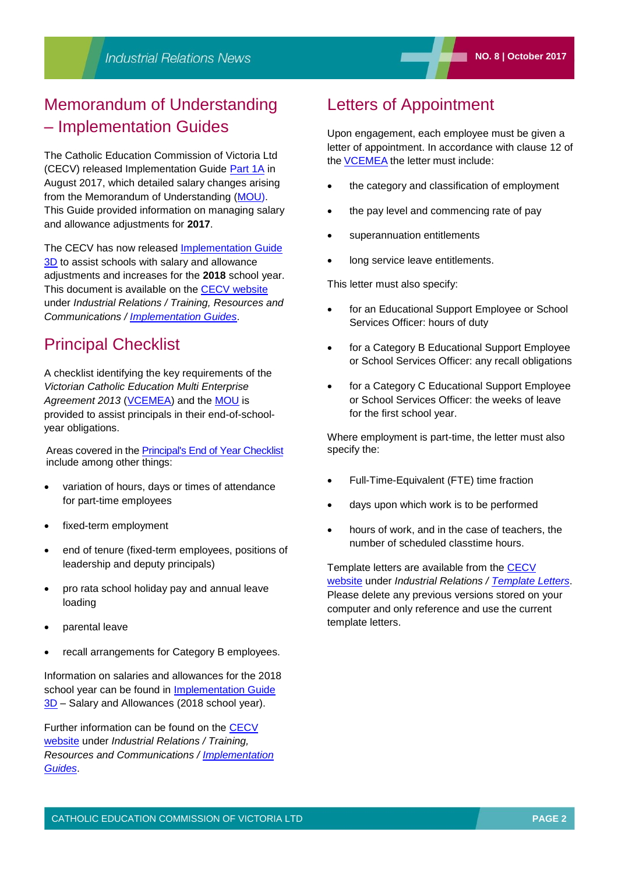### Memorandum of Understanding – Implementation Guides

The Catholic Education Commission of Victoria Ltd (CECV) released Implementation Guide [Part 1A](http://www.cecv.catholic.edu.au/getattachment/Industrial-Relations/Training-Resources/Implementation-Guides/Content/2013-Agreement-Implementation-Guides/Implementation-Guides/Implementation_Guide_-1A.pdf.aspx) in August 2017, which detailed salary changes arising from the Memorandum of Understanding [\(MOU\).](http://www.cecv.catholic.edu.au/Industrial-Relations/EB/Memorandum-of-Understanding) This Guide provided information on managing salary and allowance adjustments for **2017**.

The CECV has now released [Implementation Guide](http://www.cecv.catholic.edu.au/Media-Files/IR/Communications/Implementation-Guides/Implementation-Guide-3D.aspx)  [3D](http://www.cecv.catholic.edu.au/Media-Files/IR/Communications/Implementation-Guides/Implementation-Guide-3D.aspx) to assist schools with salary and allowance adjustments and increases for the **2018** school year. This document is available on the [CECV website](http://www.cecv.catholic.edu.au/) under *Industrial Relations / Training, Resources and Communications / [Implementation Guides](http://www.cecv.catholic.edu.au/Industrial-Relations/Training-Resources/Implementation-Guides)*.

### Principal Checklist

A checklist identifying the key requirements of the *Victorian Catholic Education Multi Enterprise*  Agreement 2013 [\(VCEMEA\)](http://www.cecv.catholic.edu.au/getmedia/e728ccbb-dac1-4822-9607-7c5cb8abdae9/VCEMEA_2013.aspx) and the [MOU](http://www.cecv.catholic.edu.au/Industrial-Relations/EB/Memorandum-of-Understanding) is provided to assist principals in their end-of-schoolyear obligations.

Areas covered in the [Principal's End of Year Checklist](http://www.cecv.catholic.edu.au/Media-Files/IR/Communications/Implementation-Guides/Principal-Checklist.aspx) include among other things:

- variation of hours, days or times of attendance for part-time employees
- fixed-term employment
- end of tenure (fixed-term employees, positions of leadership and deputy principals)
- pro rata school holiday pay and annual leave loading
- parental leave
- recall arrangements for Category B employees.

Information on salaries and allowances for the 2018 school year can be found in [Implementation Guide](http://www.cecv.catholic.edu.au/Media-Files/IR/Communications/Implementation-Guides/Implementation-Guide-3D.aspx)  [3D](http://www.cecv.catholic.edu.au/Media-Files/IR/Communications/Implementation-Guides/Implementation-Guide-3D.aspx) – Salary and Allowances (2018 school year).

Further information can be found on the [CECV](http://www.cecv.catholic.edu.au/Industrial-Relations)  [website](http://www.cecv.catholic.edu.au/Industrial-Relations) under *Industrial Relations / Training, Resources and Communications / [Implementation](http://www.cecv.catholic.edu.au/Industrial-Relations/Communications/Implementation-Guides)  [Guides](http://www.cecv.catholic.edu.au/Industrial-Relations/Communications/Implementation-Guides)*.

### Letters of Appointment

Upon engagement, each employee must be given a letter of appointment. In accordance with clause 12 of the **[VCEMEA](http://www.cecv.catholic.edu.au/getmedia/e728ccbb-dac1-4822-9607-7c5cb8abdae9/VCEMEA_2013.aspx)** the letter must include:

- the category and classification of employment
- the pay level and commencing rate of pay
- superannuation entitlements
- long service leave entitlements.

This letter must also specify:

- for an Educational Support Employee or School Services Officer: hours of duty
- for a Category B Educational Support Employee or School Services Officer: any recall obligations
- for a Category C Educational Support Employee or School Services Officer: the weeks of leave for the first school year.

Where employment is part-time, the letter must also specify the:

- Full-Time-Equivalent (FTE) time fraction
- days upon which work is to be performed
- hours of work, and in the case of teachers, the number of scheduled classtime hours.

Template letters are available from the [CECV](http://www.cecv.catholic.edu.au/Industrial-Relations)  [website](http://www.cecv.catholic.edu.au/Industrial-Relations) under *Industrial Relations / [Template Letters](http://www.cecv.catholic.edu.au/Industrial-Relations/Template-Letters)*. Please delete any previous versions stored on your computer and only reference and use the current template letters.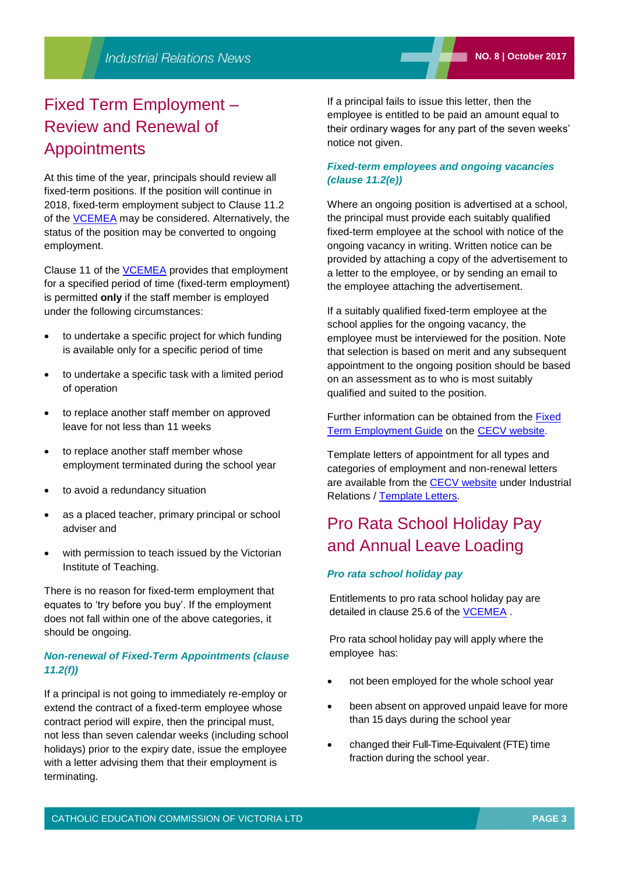### Fixed Term Employment – Review and Renewal of Appointments

At this time of the year, principals should review all fixed-term positions. If the position will continue in 2018, fixed-term employment subject to Clause 11.2 of the [VCEMEA](http://www.cecv.catholic.edu.au/getmedia/e728ccbb-dac1-4822-9607-7c5cb8abdae9/VCEMEA_2013.aspx) may be considered. Alternatively, the status of the position may be converted to ongoing employment.

Clause 11 of the [VCEMEA](http://www2.cecv.catholic.edu.au/getmedia/e728ccbb-dac1-4822-9607-7c5cb8abdae9/VCEMEA_2013.aspx) provides that employment for a specified period of time (fixed-term employment) is permitted **only** if the staff member is employed under the following circumstances:

- to undertake a specific project for which funding is available only for a specific period of time
- to undertake a specific task with a limited period of operation
- to replace another staff member on approved leave for not less than 11 weeks
- to replace another staff member whose employment terminated during the school year
- to avoid a redundancy situation
- as a placed teacher, primary principal or school adviser and
- with permission to teach issued by the Victorian Institute of Teaching.

There is no reason for fixed-term employment that equates to 'try before you buy'. If the employment does not fall within one of the above categories, it should be ongoing.

#### *Non-renewal of Fixed-Term Appointments (clause 11.2(f))*

If a principal is not going to immediately re-employ or extend the contract of a fixed-term employee whose contract period will expire, then the principal must, not less than seven calendar weeks (including school holidays) prior to the expiry date, issue the employee with a letter advising them that their employment is terminating.

If a principal fails to issue this letter, then the employee is entitled to be paid an amount equal to their ordinary wages for any part of the seven weeks' notice not given.

#### *Fixed-term employees and ongoing vacancies (clause 11.2(e))*

Where an ongoing position is advertised at a school, the principal must provide each suitably qualified fixed-term employee at the school with notice of the ongoing vacancy in writing. Written notice can be provided by attaching a copy of the advertisement to a letter to the employee, or by sending an email to the employee attaching the advertisement.

If a suitably qualified fixed-term employee at the school applies for the ongoing vacancy, the employee must be interviewed for the position. Note that selection is based on merit and any subsequent appointment to the ongoing position should be based on an assessment as to who is most suitably qualified and suited to the position.

Further information can be obtained from the **Fixed** [Term Employment Guide](http://www.cecv.catholic.edu.au/getmedia/08b855bf-e19f-4e1a-ad24-2d880b3a0097/Fixed-term-employment-guide.aspx) on the [CECV website.](http://www.cecv.catholic.edu.au/Industrial-Relations)

Template letters of appointment for all types and categories of employment and non-renewal letters are available from the [CECV website](http://www.cecv.catholic.edu.au/Industrial-Relations) under Industrial Relations / [Template Letters.](http://www.cecv.catholic.edu.au/Industrial-Relations/Template-Letters)

### Pro Rata School Holiday Pay and Annual Leave Loading

#### *Pro rata school holiday pay*

Entitlements to pro rata school holiday pay are detailed in clause 25.6 of the [VCEMEA](http://www2.cecv.catholic.edu.au/getmedia/e728ccbb-dac1-4822-9607-7c5cb8abdae9/VCEMEA_2013.aspx) .

Pro rata school holiday pay will apply where the employee has:

- not been employed for the whole school year
- been absent on approved unpaid leave for more than 15 days during the school year
- changed their Full-Time-Equivalent (FTE) time fraction during the school year.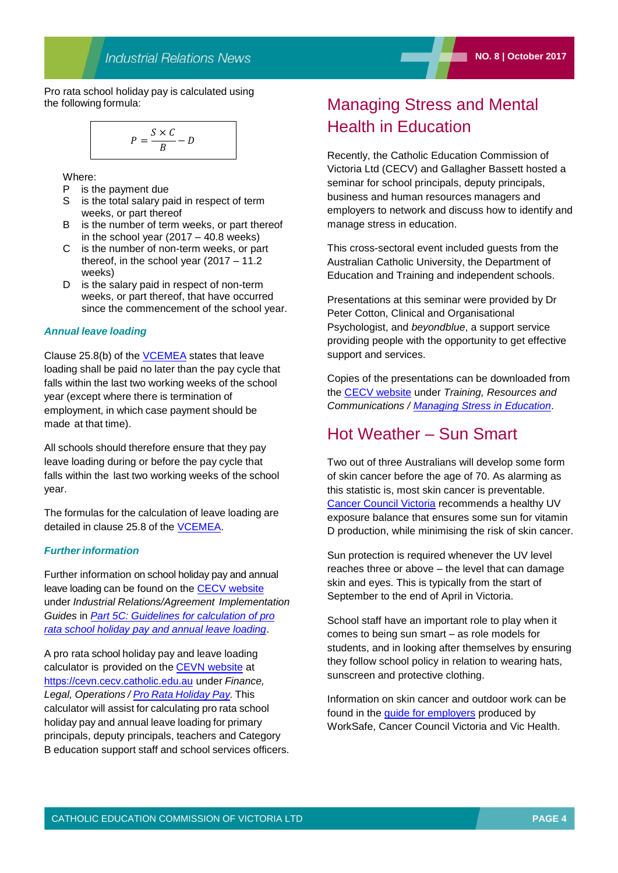Pro rata school holiday pay is calculated using the following formula:

$$
P = \frac{S \times C}{B} - D
$$

Where:

- P is the payment due
- S is the total salary paid in respect of term weeks, or part thereof
- B is the number of term weeks, or part thereof in the school year  $(2017 - 40.8$  weeks)
- C is the number of non-term weeks, or part thereof, in the school year (2017 – 11.2 weeks)
- D is the salary paid in respect of non-term weeks, or part thereof, that have occurred since the commencement of the school year.

#### *Annual leave loading*

Clause 25.8(b) of the [VCEMEA](http://www.cecv.catholic.edu.au/getmedia/e728ccbb-dac1-4822-9607-7c5cb8abdae9/VCEMEA_2013.aspx) states that leave loading shall be paid no later than the pay cycle that falls within the last two working weeks of the school year (except where there is termination of employment, in which case payment should be made at that time).

All schools should therefore ensure that they pay leave loading during or before the pay cycle that falls within the last two working weeks of the school year.

The formulas for the calculation of leave loading are detailed in clause 25.8 of the [VCEMEA.](http://www2.cecv.catholic.edu.au/getmedia/e728ccbb-dac1-4822-9607-7c5cb8abdae9/VCEMEA_2013.aspx) 

#### *Further information*

Further information on school holiday pay and annual leave loading can be found on the [CECV website](http://www.cecv.catholic.edu.au/Industrial-Relations) under *Industrial Relations/Agreement Implementation Guides* in *[Part 5C: Guidelines for calculation of pro](http://www.cecv.catholic.edu.au/getmedia/65658405-0e73-4e95-9f17-1456e976d279/Part-5C-Pro-Rata-School-Holiday-Pay-and-Leave-Loading.aspx)  [rata school holiday pay and annual leave loading](http://www.cecv.catholic.edu.au/getmedia/65658405-0e73-4e95-9f17-1456e976d279/Part-5C-Pro-Rata-School-Holiday-Pay-and-Leave-Loading.aspx)*.

A pro rata school holiday pay and leave loading calculator is provided on the [CEVN website](https://cevn.cecv.catholic.edu.au/secure/CEVNLogin.aspx?redirect=http://cevn.cecv.catholic.edu.au/Default.aspx) at https[://cevn.cecv.catholic.edu.au](http://cevn.cecv.catholic.edu.au/) under *Finance, Legal, Operations / [Pro Rata Holiday Pay.](http://cevn.cecv.catholic.edu.au/finance/holiday_leave.htm)* This calculator will assist for calculating pro rata school holiday pay and annual leave loading for primary principals, deputy principals, teachers and Category B education support staff and school services officers.

### Managing Stress and Mental Health in Education

Recently, the Catholic Education Commission of Victoria Ltd (CECV) and Gallagher Bassett hosted a seminar for school principals, deputy principals, business and human resources managers and employers to network and discuss how to identify and manage stress in education.

This cross-sectoral event included guests from the Australian Catholic University, the Department of Education and Training and independent schools.

Presentations at this seminar were provided by Dr Peter Cotton, Clinical and Organisational Psychologist, and *beyondblue*, a support service providing people with the opportunity to get effective support and services.

Copies of the presentations can be downloaded from the [CECV website](http://www.cecv.catholic.edu.au/) under *Training, Resources and Communications / [Managing Stress in Education](http://www.cecv.catholic.edu.au/Industrial-Relations/Training-Resources/Managing-Stress-in-Education)*.

### Hot Weather – Sun Smart

Two out of three Australians will develop some form of skin cancer before the age of 70. As alarming as this statistic is, most skin cancer is preventable. [Cancer Council Victoria](http://www.cancervic.org.au/) recommends a healthy UV exposure balance that ensures some sun for vitamin D production, while minimising the risk of skin cancer.

Sun protection is required whenever the UV level reaches three or above – the level that can damage skin and eyes. This is typically from the start of September to the end of April in Victoria.

School staff have an important role to play when it comes to being sun smart – as role models for students, and in looking after themselves by ensuring they follow school policy in relation to wearing hats, sunscreen and protective clothing.

Information on skin cancer and outdoor work can be found in the [guide for employers](https://www.worksafe.vic.gov.au/__data/assets/pdf_file/0003/209559/ISBN-Skin-cancer-and-outdoor-work-2012-04.pdf) produced by WorkSafe, Cancer Council Victoria and Vic Health.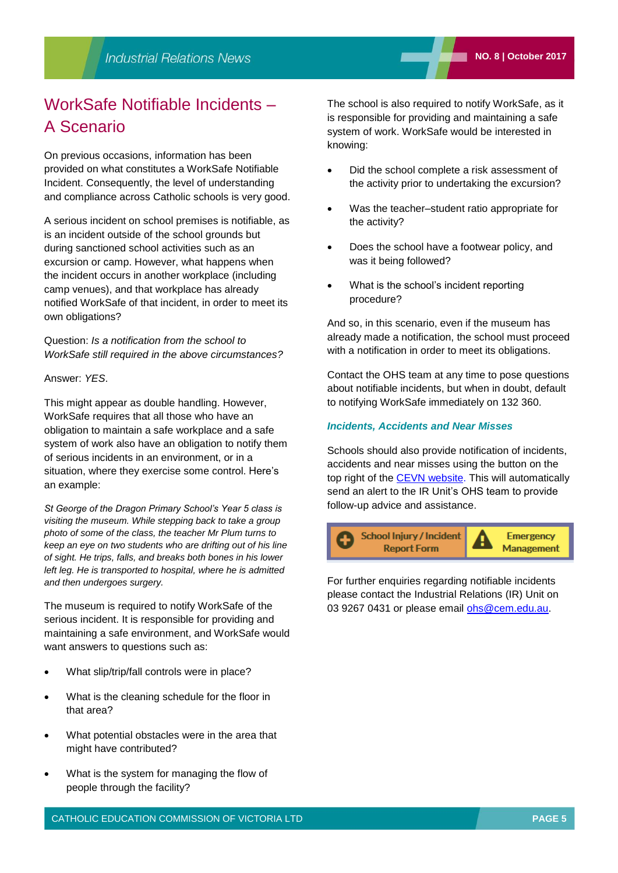## WorkSafe Notifiable Incidents – A Scenario

On previous occasions, information has been provided on what constitutes a WorkSafe Notifiable Incident. Consequently, the level of understanding and compliance across Catholic schools is very good.

A serious incident on school premises is notifiable, as is an incident outside of the school grounds but during sanctioned school activities such as an excursion or camp. However, what happens when the incident occurs in another workplace (including camp venues), and that workplace has already notified WorkSafe of that incident, in order to meet its own obligations?

Question: *Is a notification from the school to WorkSafe still required in the above circumstances?*

Answer: *YES*.

This might appear as double handling. However, WorkSafe requires that all those who have an obligation to maintain a safe workplace and a safe system of work also have an obligation to notify them of serious incidents in an environment, or in a situation, where they exercise some control. Here's an example:

*St George of the Dragon Primary School's Year 5 class is visiting the museum. While stepping back to take a group photo of some of the class, the teacher Mr Plum turns to keep an eye on two students who are drifting out of his line of sight. He trips, falls, and breaks both bones in his lower left leg. He is transported to hospital, where he is admitted and then undergoes surgery.*

The museum is required to notify WorkSafe of the serious incident. It is responsible for providing and maintaining a safe environment, and WorkSafe would want answers to questions such as:

- What slip/trip/fall controls were in place?
- What is the cleaning schedule for the floor in that area?
- What potential obstacles were in the area that might have contributed?
- What is the system for managing the flow of people through the facility?

The school is also required to notify WorkSafe, as it is responsible for providing and maintaining a safe system of work. WorkSafe would be interested in knowing:

- Did the school complete a risk assessment of the activity prior to undertaking the excursion?
- Was the teacher–student ratio appropriate for the activity?
- Does the school have a footwear policy, and was it being followed?
- What is the school's incident reporting procedure?

And so, in this scenario, even if the museum has already made a notification, the school must proceed with a notification in order to meet its obligations.

Contact the OHS team at any time to pose questions about notifiable incidents, but when in doubt, default to notifying WorkSafe immediately on 132 360.

#### *Incidents, Accidents and Near Misses*

Schools should also provide notification of incidents, accidents and near misses using the button on the top right of the [CEVN website.](http://cevn.cecv.catholic.edu.au/cevnlogin.aspx) This will automatically send an alert to the IR Unit's OHS team to provide follow-up advice and assistance.



For further enquiries regarding notifiable incidents please contact the Industrial Relations (IR) Unit on 03 9267 0431 or please email [ohs@cem.edu.au.](mailto:ohs@cem.edu.au)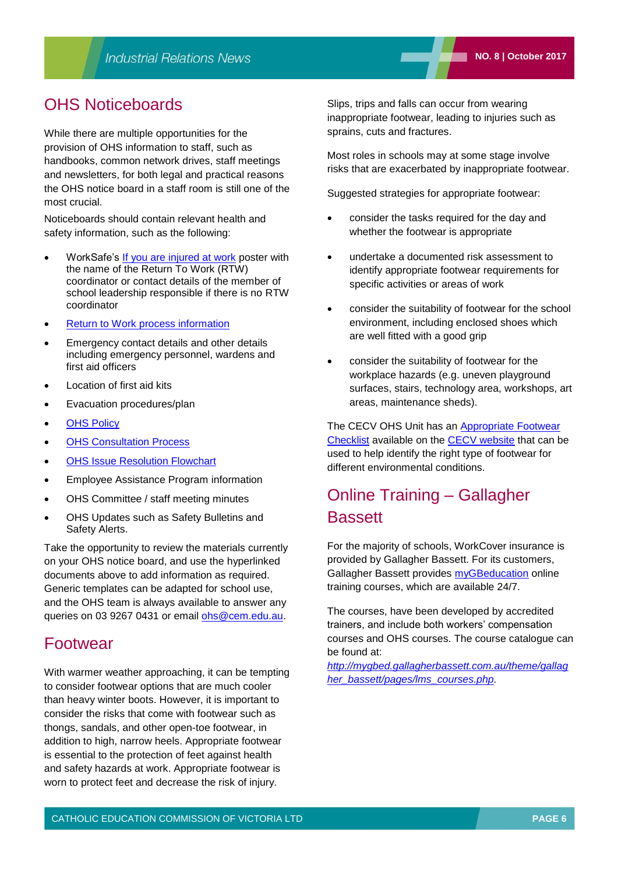While there are multiple opportunities for the provision of OHS information to staff, such as handbooks, common network drives, staff meetings and newsletters, for both legal and practical reasons the OHS notice board in a staff room is still one of the most crucial.

Noticeboards should contain relevant health and safety information, such as the following:

- WorkSafe's [If you are injured at work](http://www.worksafe.vic.gov.au/__data/assets/pdf_file/0008/10511/If_you_are_injured_poster_for_self-insurers.pdf) poster with the name of the Return To Work (RTW) coordinator or contact details of the member of school leadership responsible if there is no RTW coordinator
- [Return to Work process information](http://www.cecv.catholic.edu.au/getmedia/44afb3b6-0e4f-4a82-b352-4f7a0b5a0f44/Return-to-Work-Information-Template.aspx)
- Emergency contact details and other details including emergency personnel, wardens and first aid officers
- Location of first aid kits
- Evacuation procedures/plan
- [OHS Policy](http://www.cecv.catholic.edu.au/Media-Files/OHS-WC/Resources/OHS-Policy/OHS-policy-Template.aspx)
- [OHS Consultation Process](http://www.cecv.catholic.edu.au/getmedia/907a2141-0eff-4015-80bc-068f89007c5d/Consultation.aspx)
- [OHS Issue Resolution Flowchart](http://www.cecv.catholic.edu.au/getmedia/c8dedf51-bd87-42d1-bdd7-5e359dc3a394/OHS-Issue-Resolution.aspx)
- Employee Assistance Program information
- OHS Committee / staff meeting minutes
- OHS Updates such as Safety Bulletins and Safety Alerts.

Take the opportunity to review the materials currently on your OHS notice board, and use the hyperlinked documents above to add information as required. Generic templates can be adapted for school use, and the OHS team is always available to answer any queries on 03 9267 0431 or email [ohs@cem.edu.au.](mailto:ohs@cem.edu.au)

### Footwear

With warmer weather approaching, it can be tempting to consider footwear options that are much cooler than heavy winter boots. However, it is important to consider the risks that come with footwear such as thongs, sandals, and other open-toe footwear, in addition to high, narrow heels. Appropriate footwear is essential to the protection of feet against health and safety hazards at work. Appropriate footwear is worn to protect feet and decrease the risk of injury.

Slips, trips and falls can occur from wearing inappropriate footwear, leading to injuries such as sprains, cuts and fractures.

Most roles in schools may at some stage involve risks that are exacerbated by inappropriate footwear.

Suggested strategies for appropriate footwear:

- consider the tasks required for the day and whether the footwear is appropriate
- undertake a documented risk assessment to identify appropriate footwear requirements for specific activities or areas of work
- consider the suitability of footwear for the school environment, including enclosed shoes which are well fitted with a good grip
- consider the suitability of footwear for the workplace hazards (e.g. uneven playground surfaces, stairs, technology area, workshops, art areas, maintenance sheds).

The CECV OHS Unit has an [Appropriate Footwear](http://www.cecv.catholic.edu.au/getmedia/864caf94-abbd-4559-a287-25b459f188ad/FINAL-Appropriate-Footwear-Checklist.aspx)  [Checklist](http://www.cecv.catholic.edu.au/getmedia/864caf94-abbd-4559-a287-25b459f188ad/FINAL-Appropriate-Footwear-Checklist.aspx) available on the [CECV website](http://www.cecv.catholic.edu.au/) that can be used to help identify the right type of footwear for different environmental conditions.

### Online Training – Gallagher **Bassett**

For the majority of schools, WorkCover insurance is provided by Gallagher Bassett. For its customers, Gallagher Bassett provides [myGBeducation](https://mygbed.gallagherbassett.com.au/login/index.php) online training courses, which are available 24/7.

The courses, have been developed by accredited trainers, and include both workers' compensation courses and OHS courses. The course catalogue can be found at:

*[http://mygbed.gallagherbassett.com.au/theme/gallag](http://mygbed.gallagherbassett.com.au/theme/gallagher_bassett/pages/lms_courses.php) [her\\_bassett/pages/lms\\_courses.php.](http://mygbed.gallagherbassett.com.au/theme/gallagher_bassett/pages/lms_courses.php)*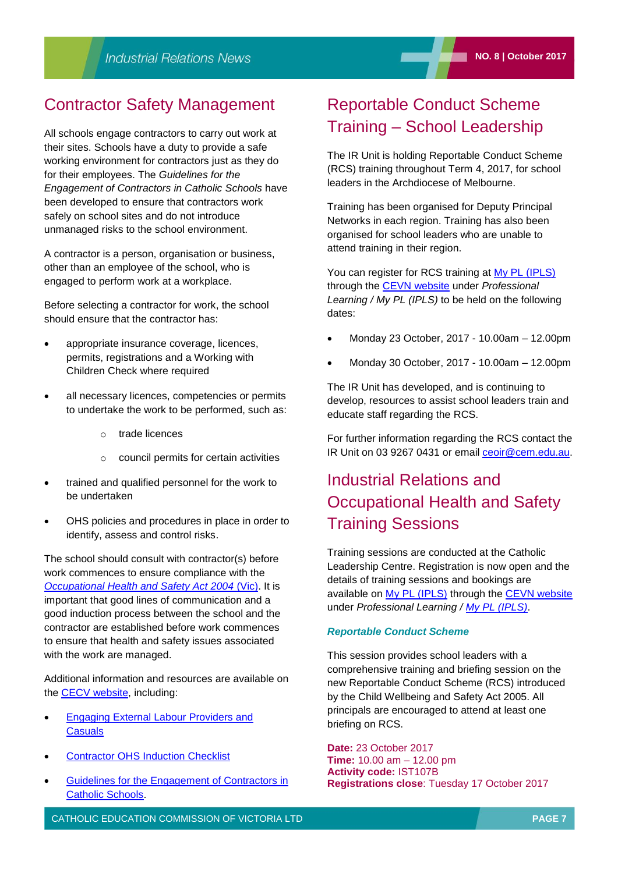### Contractor Safety Management

All schools engage contractors to carry out work at their sites. Schools have a duty to provide a safe working environment for contractors just as they do for their employees. The *Guidelines for the Engagement of Contractors in Catholic Schools* have been developed to ensure that contractors work safely on school sites and do not introduce unmanaged risks to the school environment.

A contractor is a person, organisation or business, other than an employee of the school, who is engaged to perform work at a workplace.

Before selecting a contractor for work, the school should ensure that the contractor has:

- appropriate insurance coverage, licences, permits, registrations and a Working with Children Check where required
- all necessary licences, competencies or permits to undertake the work to be performed, such as:
	- o trade licences
	- o council permits for certain activities
- trained and qualified personnel for the work to be undertaken
- OHS policies and procedures in place in order to identify, assess and control risks.

The school should consult with contractor(s) before work commences to ensure compliance with the *[Occupational Health and Safety Act 2004](http://www.legislation.vic.gov.au/domino/web_notes/ldms/pubstatbook.nsf/f932b66241ecf1b7ca256e92000e23be/750e0d9e0b2b387fca256f71001fa7be/%24file/04-107a.pdf)* (Vic). It is important that good lines of communication and a good induction process between the school and the contractor are established before work commences to ensure that health and safety issues associated with the work are managed.

Additional information and resources are available on the **CECV** website, including:

- [Engaging External Labour Providers and](http://www.cecv.catholic.edu.au/Industrial-Relations/Policies-and-Guidelines/Employee-Obligations)  **[Casuals](http://www.cecv.catholic.edu.au/Industrial-Relations/Policies-and-Guidelines/Employee-Obligations)**
- [Contractor OHS Induction Checklist](http://www.cecv.catholic.edu.au/getmedia/0b9d7f41-2692-406d-8f82-790b28d2f397/Contractor-OHS-Induction-checklist.aspx)
- [Guidelines for the Engagement of Contractors in](http://www.cecv.catholic.edu.au/getmedia/a099f220-2e9a-4b5a-9147-8f11e49a28d1/Contractor-Guidelines.aspx)  [Catholic Schools.](http://www.cecv.catholic.edu.au/getmedia/a099f220-2e9a-4b5a-9147-8f11e49a28d1/Contractor-Guidelines.aspx)

### Reportable Conduct Scheme Training – School Leadership

The IR Unit is holding Reportable Conduct Scheme (RCS) training throughout Term 4, 2017, for school leaders in the Archdiocese of Melbourne.

Training has been organised for Deputy Principal Networks in each region. Training has also been organised for school leaders who are unable to attend training in their region.

You can register for RCS training at [My PL \(IPLS\)](http://cevn.cecv.catholic.edu.au/ProfessionalLearning.aspx?id=7160) through the [CEVN website](http://cevn.cecv.catholic.edu.au/cevnlogin.aspx) under *Professional Learning / My PL (IPLS)* to be held on the following dates:

- Monday 23 October, 2017 10.00am 12.00pm
- Monday 30 October, 2017 10.00am 12.00pm

The IR Unit has developed, and is continuing to develop, resources to assist school leaders train and educate staff regarding the RCS.

For further information regarding the RCS contact the IR Unit on 03 9267 0431 or email [ceoir@cem.edu.au.](mailto:ceoir@cem.edu.au)

## Industrial Relations and Occupational Health and Safety Training Sessions

Training sessions are conducted at the Catholic Leadership Centre. Registration is now open and the details of training sessions and bookings are available on [My PL \(IPLS\)](http://cevn.cecv.catholic.edu.au/ProfessionalLearning.aspx?id=7160) through the [CEVN website](http://cevn.cecv.catholic.edu.au/cevnlogin.aspx) under *Professional Learning / [My PL \(IPLS\)](http://cevn.cecv.catholic.edu.au/ProfessionalLearning.aspx?id=7160)*.

#### *Reportable Conduct Scheme*

This session provides school leaders with a comprehensive training and briefing session on the new Reportable Conduct Scheme (RCS) introduced by the Child Wellbeing and Safety Act 2005. All principals are encouraged to attend at least one briefing on RCS.

**Date:** 23 October 2017 **Time:** 10.00 am – 12.00 pm **Activity code:** IST107B **Registrations close**: Tuesday 17 October 2017

CATHOLIC EDUCATION COMMISSION OF VICTORIA LTD **PAGE 7**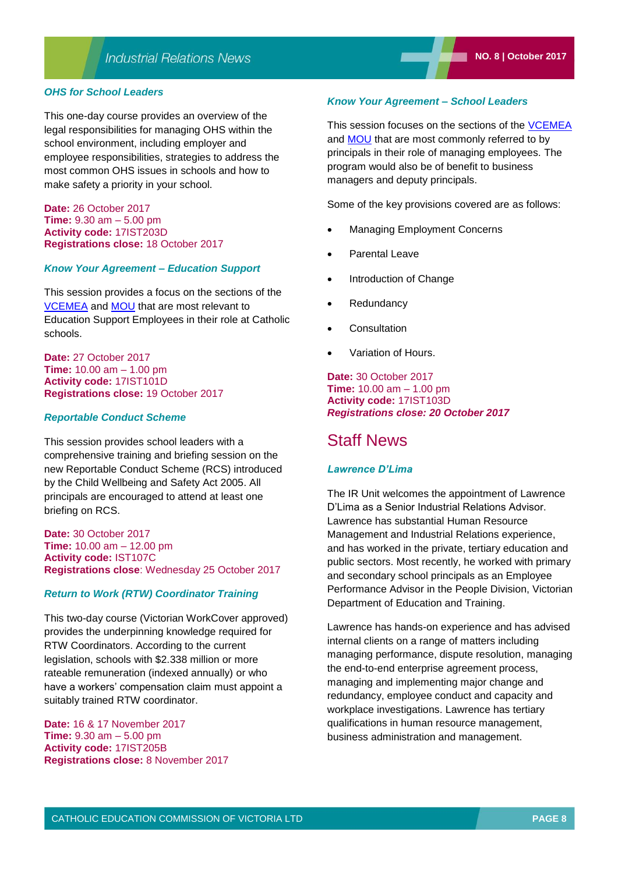This one-day course provides an overview of the legal responsibilities for managing OHS within the school environment, including employer and employee responsibilities, strategies to address the most common OHS issues in schools and how to make safety a priority in your school.

**Date:** 26 October 2017 **Time:** 9.30 am – 5.00 pm **Activity code:** 17IST203D **Registrations close:** 18 October 2017

#### *Know Your Agreement – Education Support*

This session provides a focus on the sections of the [VCEMEA](http://www2.cecv.catholic.edu.au/getmedia/e728ccbb-dac1-4822-9607-7c5cb8abdae9/VCEMEA_2013.aspx) and [MOU](http://www.cecv.catholic.edu.au/Industrial-Relations/EB/Memorandum-of-Understanding) that are most relevant to Education Support Employees in their role at Catholic schools.

**Date:** 27 October 2017 **Time:** 10.00 am – 1.00 pm **Activity code:** 17IST101D **Registrations close:** 19 October 2017

#### *Reportable Conduct Scheme*

This session provides school leaders with a comprehensive training and briefing session on the new Reportable Conduct Scheme (RCS) introduced by the Child Wellbeing and Safety Act 2005. All principals are encouraged to attend at least one briefing on RCS.

**Date:** 30 October 2017 **Time:** 10.00 am – 12.00 pm **Activity code:** IST107C **Registrations close**: Wednesday 25 October 2017

#### *Return to Work (RTW) Coordinator Training*

This two-day course (Victorian WorkCover approved) provides the underpinning knowledge required for RTW Coordinators. According to the current legislation, schools with \$2.338 million or more rateable remuneration (indexed annually) or who have a workers' compensation claim must appoint a suitably trained RTW coordinator.

**Date:** 16 & 17 November 2017 **Time:** 9.30 am – 5.00 pm **Activity code:** 17IST205B **Registrations close:** 8 November 2017

#### *Know Your Agreement – School Leaders*

This session focuses on the sections of the [VCEMEA](http://www2.cecv.catholic.edu.au/getmedia/e728ccbb-dac1-4822-9607-7c5cb8abdae9/VCEMEA_2013.aspx) and [MOU](http://www.cecv.catholic.edu.au/Industrial-Relations/EB/Memorandum-of-Understanding) that are most commonly referred to by principals in their role of managing employees. The program would also be of benefit to business managers and deputy principals.

Some of the key provisions covered are as follows:

- Managing Employment Concerns
- Parental Leave
- Introduction of Change
- **Redundancy**
- **Consultation**
- Variation of Hours.

**Date:** 30 October 2017 **Time:** 10.00 am – 1.00 pm **Activity code:** 17IST103D *Registrations close: 20 October 2017*

### Staff News

#### *Lawrence D'Lima*

The IR Unit welcomes the appointment of Lawrence D'Lima as a Senior Industrial Relations Advisor. Lawrence has substantial Human Resource Management and Industrial Relations experience, and has worked in the private, tertiary education and public sectors. Most recently, he worked with primary and secondary school principals as an Employee Performance Advisor in the People Division, Victorian Department of Education and Training.

Lawrence has hands-on experience and has advised internal clients on a range of matters including managing performance, dispute resolution, managing the end-to-end enterprise agreement process, managing and implementing major change and redundancy, employee conduct and capacity and workplace investigations. Lawrence has tertiary qualifications in human resource management, business administration and management.